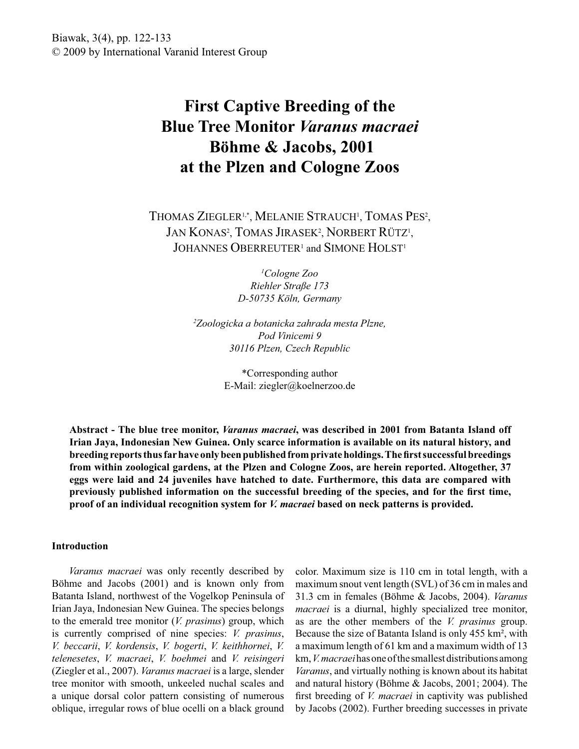Biawak, 3(4), pp. 122-133 © 2009 by International Varanid Interest Group

# **First Captive Breeding of the Blue Tree Monitor** *Varanus macraei* **Böhme & Jacobs, 2001 at the Plzen and Cologne Zoos**

THOMAS ZIEGLER<sup>1,\*</sup>, MELANIE STRAUCH<sup>1</sup>, TOMAS PES<sup>2</sup>, JAN KONAS<sup>2</sup>, TOMAS JIRASEK<sup>2</sup>, NORBERT RÜTZ<sup>1</sup>, JOHANNES OBERREUTER<sup>1</sup> and SIMONE HOLST<sup>1</sup>

> *<sup>1</sup>Cologne Zoo Riehler Straße 173 D-50735 Köln, Germany*

*<sup>2</sup>Zoologicka a botanicka zahrada mesta Plzne, Pod Vinicemi 9 30116 Plzen, Czech Republic*

> \*Corresponding author E-Mail: ziegler@koelnerzoo.de

**Abstract - The blue tree monitor,** *Varanus macraei***, was described in 2001 from Batanta Island off Irian Jaya, Indonesian New Guinea. Only scarce information is available on its natural history, and breeding reports thus far have only been published from private holdings. The first successful breedings from within zoological gardens, at the Plzen and Cologne Zoos, are herein reported. Altogether, 37 eggs were laid and 24 juveniles have hatched to date. Furthermore, this data are compared with previously published information on the successful breeding of the species, and for the first time, proof of an individual recognition system for** *V. macraei* **based on neck patterns is provided.** 

### **Introduction**

 *Varanus macraei* was only recently described by Böhme and Jacobs (2001) and is known only from Batanta Island, northwest of the Vogelkop Peninsula of Irian Jaya, Indonesian New Guinea. The species belongs to the emerald tree monitor (*V. prasinus*) group, which is currently comprised of nine species: *V. prasinus*, *V. beccarii*, *V. kordensis*, *V. bogerti*, *V. keithhornei*, *V. telenesetes*, *V. macraei*, *V. boehmei* and *V. reisingeri* (Ziegler et al., 2007). *Varanus macraei* is a large, slender tree monitor with smooth, unkeeled nuchal scales and a unique dorsal color pattern consisting of numerous oblique, irregular rows of blue ocelli on a black ground

color. Maximum size is 110 cm in total length, with a maximum snout vent length (SVL) of 36 cm in males and 31.3 cm in females (Böhme & Jacobs, 2004). *Varanus macraei* is a diurnal, highly specialized tree monitor, as are the other members of the *V. prasinus* group. Because the size of Batanta Island is only 455 km², with a maximum length of 61 km and a maximum width of 13 km, *V. macraei* has one of the smallest distributions among *Varanus*, and virtually nothing is known about its habitat and natural history (Böhme & Jacobs, 2001; 2004). The first breeding of *V. macraei* in captivity was published by Jacobs (2002). Further breeding successes in private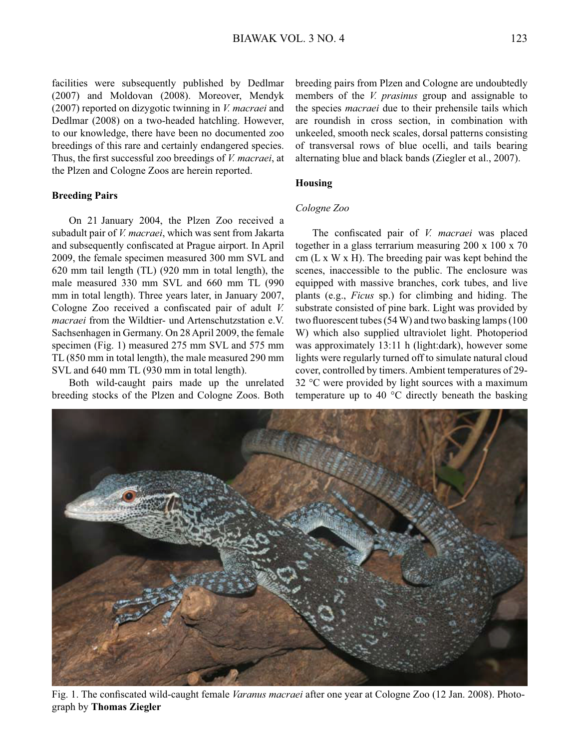facilities were subsequently published by Dedlmar (2007) and Moldovan (2008). Moreover, Mendyk (2007) reported on dizygotic twinning in *V. macraei* and Dedlmar (2008) on a two-headed hatchling. However, to our knowledge, there have been no documented zoo breedings of this rare and certainly endangered species. Thus, the first successful zoo breedings of *V. macraei*, at the Plzen and Cologne Zoos are herein reported.

#### **Breeding Pairs**

 On 21 January 2004, the Plzen Zoo received a subadult pair of *V. macraei*, which was sent from Jakarta and subsequently confiscated at Prague airport. In April 2009, the female specimen measured 300 mm SVL and 620 mm tail length (TL) (920 mm in total length), the male measured 330 mm SVL and 660 mm TL (990 mm in total length). Three years later, in January 2007, Cologne Zoo received a confiscated pair of adult *V. macraei* from the Wildtier- und Artenschutzstation e.V. Sachsenhagen in Germany. On 28 April 2009, the female specimen (Fig. 1) measured 275 mm SVL and 575 mm TL (850 mm in total length), the male measured 290 mm SVL and 640 mm TL (930 mm in total length).

 Both wild-caught pairs made up the unrelated breeding stocks of the Plzen and Cologne Zoos. Both

breeding pairs from Plzen and Cologne are undoubtedly members of the *V. prasinus* group and assignable to the species *macraei* due to their prehensile tails which are roundish in cross section, in combination with unkeeled, smooth neck scales, dorsal patterns consisting of transversal rows of blue ocelli, and tails bearing alternating blue and black bands (Ziegler et al., 2007).

## **Housing**

### *Cologne Zoo*

 The confiscated pair of *V. macraei* was placed together in a glass terrarium measuring 200 x 100 x 70 cm (L x W x H). The breeding pair was kept behind the scenes, inaccessible to the public. The enclosure was equipped with massive branches, cork tubes, and live plants (e.g., *Ficus* sp.) for climbing and hiding. The substrate consisted of pine bark. Light was provided by two fluorescent tubes (54 W) and two basking lamps (100 W) which also supplied ultraviolet light. Photoperiod was approximately 13:11 h (light:dark), however some lights were regularly turned off to simulate natural cloud cover, controlled by timers. Ambient temperatures of 29- 32 °C were provided by light sources with a maximum temperature up to 40 °C directly beneath the basking

Fig. 1. The confiscated wild-caught female *Varanus macraei* after one year at Cologne Zoo (12 Jan. 2008). Photograph by **Thomas Ziegler**

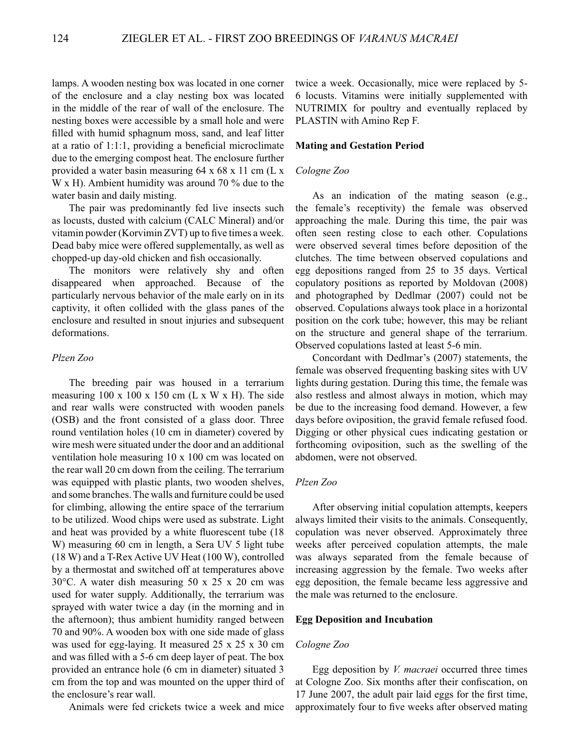lamps. A wooden nesting box was located in one corner of the enclosure and a clay nesting box was located in the middle of the rear of wall of the enclosure. The nesting boxes were accessible by a small hole and were filled with humid sphagnum moss, sand, and leaf litter at a ratio of 1:1:1, providing a beneficial microclimate due to the emerging compost heat. The enclosure further provided a water basin measuring 64 x 68 x 11 cm (L x W x H). Ambient humidity was around 70 % due to the water basin and daily misting.

 The pair was predominantly fed live insects such as locusts, dusted with calcium (CALC Mineral) and/or vitamin powder (Korvimin ZVT) up to five times a week. Dead baby mice were offered supplementally, as well as chopped-up day-old chicken and fish occasionally.

 The monitors were relatively shy and often disappeared when approached. Because of the particularly nervous behavior of the male early on in its captivity, it often collided with the glass panes of the enclosure and resulted in snout injuries and subsequent deformations.

#### *Plzen Zoo*

 The breeding pair was housed in a terrarium measuring  $100 \times 100 \times 150$  cm (L x W x H). The side and rear walls were constructed with wooden panels (OSB) and the front consisted of a glass door. Three round ventilation holes (10 cm in diameter) covered by wire mesh were situated under the door and an additional ventilation hole measuring 10 x 100 cm was located on the rear wall 20 cm down from the ceiling. The terrarium was equipped with plastic plants, two wooden shelves, and some branches. The walls and furniture could be used for climbing, allowing the entire space of the terrarium to be utilized. Wood chips were used as substrate. Light and heat was provided by a white fluorescent tube (18 W) measuring 60 cm in length, a Sera UV 5 light tube (18 W) and a T-Rex Active UV Heat (100 W), controlled by a thermostat and switched off at temperatures above 30°C. A water dish measuring 50 x 25 x 20 cm was used for water supply. Additionally, the terrarium was sprayed with water twice a day (in the morning and in the afternoon); thus ambient humidity ranged between 70 and 90%. A wooden box with one side made of glass was used for egg-laying. It measured 25 x 25 x 30 cm and was filled with a 5-6 cm deep layer of peat. The box provided an entrance hole (6 cm in diameter) situated 3 cm from the top and was mounted on the upper third of the enclosure's rear wall.

Animals were fed crickets twice a week and mice

twice a week. Occasionally, mice were replaced by 5- 6 locusts. Vitamins were initially supplemented with NUTRIMIX for poultry and eventually replaced by PLASTIN with Amino Rep F.

## **Mating and Gestation Period**

#### *Cologne Zoo*

 As an indication of the mating season (e.g., the female's receptivity) the female was observed approaching the male. During this time, the pair was often seen resting close to each other. Copulations were observed several times before deposition of the clutches. The time between observed copulations and egg depositions ranged from 25 to 35 days. Vertical copulatory positions as reported by Moldovan (2008) and photographed by Dedlmar (2007) could not be observed. Copulations always took place in a horizontal position on the cork tube; however, this may be reliant on the structure and general shape of the terrarium. Observed copulations lasted at least 5-6 min.

 Concordant with Dedlmar's (2007) statements, the female was observed frequenting basking sites with UV lights during gestation. During this time, the female was also restless and almost always in motion, which may be due to the increasing food demand. However, a few days before oviposition, the gravid female refused food. Digging or other physical cues indicating gestation or forthcoming oviposition, such as the swelling of the abdomen, were not observed.

#### *Plzen Zoo*

 After observing initial copulation attempts, keepers always limited their visits to the animals. Consequently, copulation was never observed. Approximately three weeks after perceived copulation attempts, the male was always separated from the female because of increasing aggression by the female. Two weeks after egg deposition, the female became less aggressive and the male was returned to the enclosure.

## **Egg Deposition and Incubation**

## *Cologne Zoo*

 Egg deposition by *V. macraei* occurred three times at Cologne Zoo. Six months after their confiscation, on 17 June 2007, the adult pair laid eggs for the first time, approximately four to five weeks after observed mating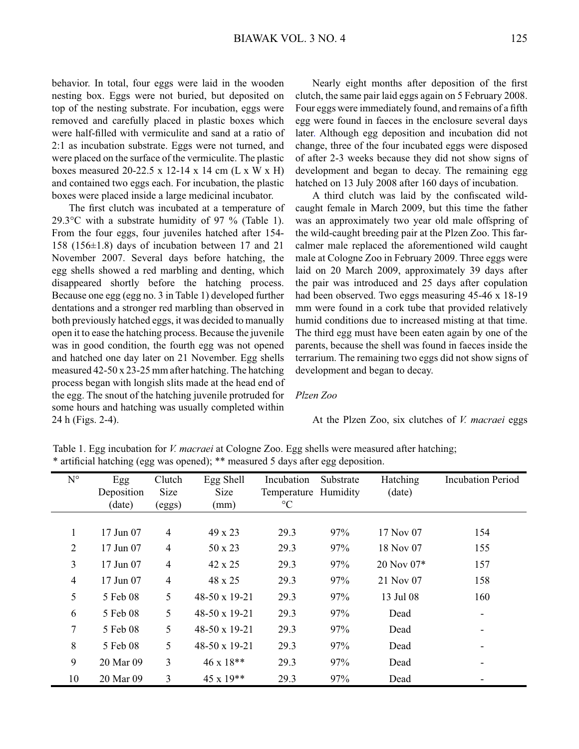behavior. In total, four eggs were laid in the wooden nesting box. Eggs were not buried, but deposited on top of the nesting substrate. For incubation, eggs were removed and carefully placed in plastic boxes which were half-filled with vermiculite and sand at a ratio of 2:1 as incubation substrate. Eggs were not turned, and were placed on the surface of the vermiculite. The plastic boxes measured 20-22.5 x 12-14 x 14 cm (L x W x H) and contained two eggs each. For incubation, the plastic boxes were placed inside a large medicinal incubator.

 The first clutch was incubated at a temperature of 29.3 $\degree$ C with a substrate humidity of 97  $\%$  (Table 1). From the four eggs, four juveniles hatched after 154- 158 (156±1.8) days of incubation between 17 and 21 November 2007. Several days before hatching, the egg shells showed a red marbling and denting, which disappeared shortly before the hatching process. Because one egg (egg no. 3 in Table 1) developed further dentations and a stronger red marbling than observed in both previously hatched eggs, it was decided to manually open it to ease the hatching process. Because the juvenile was in good condition, the fourth egg was not opened and hatched one day later on 21 November. Egg shells measured 42-50 x 23-25 mm after hatching. The hatching process began with longish slits made at the head end of the egg. The snout of the hatching juvenile protruded for some hours and hatching was usually completed within 24 h (Figs. 2-4).

 Nearly eight months after deposition of the first clutch, the same pair laid eggs again on 5 February 2008. Four eggs were immediately found, and remains of a fifth egg were found in faeces in the enclosure several days later. Although egg deposition and incubation did not change, three of the four incubated eggs were disposed of after 2-3 weeks because they did not show signs of development and began to decay. The remaining egg hatched on 13 July 2008 after 160 days of incubation.

 A third clutch was laid by the confiscated wildcaught female in March 2009, but this time the father was an approximately two year old male offspring of the wild-caught breeding pair at the Plzen Zoo. This farcalmer male replaced the aforementioned wild caught male at Cologne Zoo in February 2009. Three eggs were laid on 20 March 2009, approximately 39 days after the pair was introduced and 25 days after copulation had been observed. Two eggs measuring 45-46 x 18-19 mm were found in a cork tube that provided relatively humid conditions due to increased misting at that time. The third egg must have been eaten again by one of the parents, because the shell was found in faeces inside the terrarium. The remaining two eggs did not show signs of development and began to decay.

## *Plzen Zoo*

At the Plzen Zoo, six clutches of *V. macraei* eggs

Table 1. Egg incubation for *V. macraei* at Cologne Zoo. Egg shells were measured after hatching; \* artificial hatching (egg was opened); \*\* measured 5 days after egg deposition.

| $N^{\circ}$    | Egg        | Clutch         | Egg Shell            | Incubation           | Substrate | Hatching   | <b>Incubation Period</b> |
|----------------|------------|----------------|----------------------|----------------------|-----------|------------|--------------------------|
|                | Deposition | Size           | Size                 | Temperature Humidity |           | (date)     |                          |
|                | (date)     | (eggs)         | (mm)                 | $\rm ^{\circ}C$      |           |            |                          |
|                |            |                |                      |                      |           |            |                          |
| 1              | 17 Jun 07  | $\overline{4}$ | 49 x 23              | 29.3                 | 97%       | 17 Nov 07  | 154                      |
| $\overline{2}$ | 17 Jun 07  | $\overline{4}$ | 50 x 23              | 29.3                 | 97%       | 18 Nov 07  | 155                      |
| 3              | 17 Jun 07  | $\overline{4}$ | 42 x 25              | 29.3                 | 97%       | 20 Nov 07* | 157                      |
| $\overline{4}$ | 17 Jun 07  | $\overline{4}$ | 48 x 25              | 29.3                 | 97%       | 21 Nov 07  | 158                      |
| 5              | 5 Feb 08   | 5              | 48-50 x 19-21        | 29.3                 | 97%       | 13 Jul 08  | 160                      |
| 6              | 5 Feb 08   | 5              | $48-50 \times 19-21$ | 29.3                 | 97%       | Dead       |                          |
| 7              | 5 Feb 08   | 5              | $48-50 \times 19-21$ | 29.3                 | 97%       | Dead       |                          |
| 8              | 5 Feb 08   | 5              | 48-50 x 19-21        | 29.3                 | 97%       | Dead       |                          |
| 9              | 20 Mar 09  | 3              | $46 \times 18**$     | 29.3                 | 97%       | Dead       |                          |
| 10             | 20 Mar 09  | $\overline{3}$ | $45 \times 19**$     | 29.3                 | 97%       | Dead       |                          |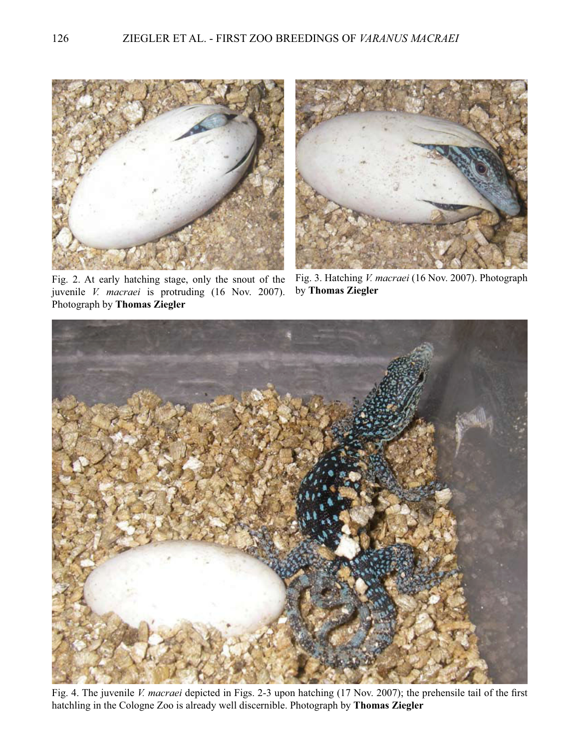

Fig. 2. At early hatching stage, only the snout of the juvenile *V. macraei* is protruding (16 Nov. 2007). Photograph by **Thomas Ziegler**



Fig. 3. Hatching *V. macraei* (16 Nov. 2007). Photograph by **Thomas Ziegler**



Fig. 4. The juvenile *V. macraei* depicted in Figs. 2-3 upon hatching (17 Nov. 2007); the prehensile tail of the first hatchling in the Cologne Zoo is already well discernible. Photograph by **Thomas Ziegler**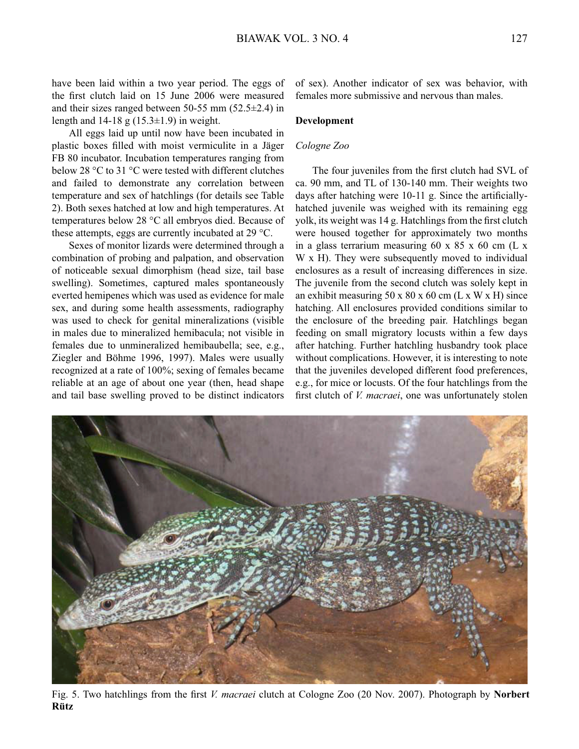have been laid within a two year period. The eggs of the first clutch laid on 15 June 2006 were measured and their sizes ranged between 50-55 mm (52.5±2.4) in length and  $14-18$  g  $(15.3\pm1.9)$  in weight.

 All eggs laid up until now have been incubated in plastic boxes filled with moist vermiculite in a Jäger FB 80 incubator. Incubation temperatures ranging from below 28 °C to 31 °C were tested with different clutches and failed to demonstrate any correlation between temperature and sex of hatchlings (for details see Table 2). Both sexes hatched at low and high temperatures. At temperatures below 28 °C all embryos died. Because of these attempts, eggs are currently incubated at 29 °C.

 Sexes of monitor lizards were determined through a combination of probing and palpation, and observation of noticeable sexual dimorphism (head size, tail base swelling). Sometimes, captured males spontaneously everted hemipenes which was used as evidence for male sex, and during some health assessments, radiography was used to check for genital mineralizations (visible in males due to mineralized hemibacula; not visible in females due to unmineralized hemibaubella; see, e.g., Ziegler and Böhme 1996, 1997). Males were usually recognized at a rate of 100%; sexing of females became reliable at an age of about one year (then, head shape and tail base swelling proved to be distinct indicators

**Rütz**

of sex). Another indicator of sex was behavior, with females more submissive and nervous than males.

### **Development**

## *Cologne Zoo*

 The four juveniles from the first clutch had SVL of ca. 90 mm, and TL of 130-140 mm. Their weights two days after hatching were 10-11 g. Since the artificiallyhatched juvenile was weighed with its remaining egg yolk, its weight was 14 g. Hatchlings from the first clutch were housed together for approximately two months in a glass terrarium measuring 60 x 85 x 60 cm (L x W x H). They were subsequently moved to individual enclosures as a result of increasing differences in size. The juvenile from the second clutch was solely kept in an exhibit measuring  $50 \times 80 \times 60$  cm (L x W x H) since hatching. All enclosures provided conditions similar to the enclosure of the breeding pair. Hatchlings began feeding on small migratory locusts within a few days after hatching. Further hatchling husbandry took place without complications. However, it is interesting to note that the juveniles developed different food preferences, e.g., for mice or locusts. Of the four hatchlings from the first clutch of *V. macraei*, one was unfortunately stolen

Fig. 5. Two hatchlings from the first *V. macraei* clutch at Cologne Zoo (20 Nov. 2007). Photograph by **Norbert**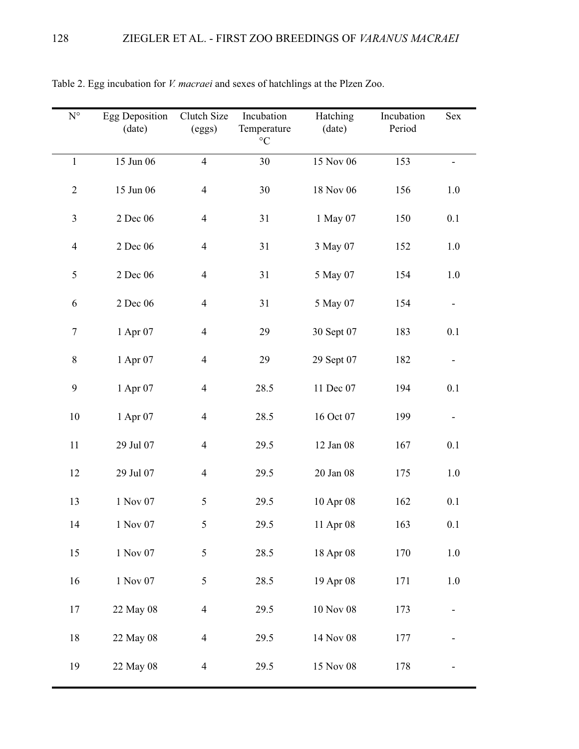| $\mathbf{N}^{\circ}$ | <b>Egg Deposition</b><br>(date) | Clutch Size<br>(eggs)    | Incubation<br>Temperature<br>$^{\circ}{\rm C}$ | Hatching<br>(date) | Incubation<br>Period | Sex     |
|----------------------|---------------------------------|--------------------------|------------------------------------------------|--------------------|----------------------|---------|
| $\mathbf{1}$         | 15 Jun 06                       | $\overline{4}$           | 30                                             | 15 Nov 06          | 153                  |         |
| $\overline{2}$       | 15 Jun 06                       | $\overline{4}$           | 30                                             | 18 Nov 06          | 156                  | $1.0\,$ |
| $\mathfrak{Z}$       | 2 Dec 06                        | $\overline{\mathcal{A}}$ | 31                                             | 1 May 07           | 150                  | 0.1     |
| $\overline{4}$       | 2 Dec 06                        | $\overline{\mathcal{A}}$ | 31                                             | 3 May 07           | 152                  | $1.0\,$ |
| 5                    | 2 Dec 06                        | $\overline{\mathcal{A}}$ | 31                                             | 5 May 07           | 154                  | $1.0\,$ |
| 6                    | 2 Dec 06                        | $\overline{\mathcal{A}}$ | 31                                             | 5 May 07           | 154                  |         |
| $\boldsymbol{7}$     | 1 Apr 07                        | $\overline{\mathcal{A}}$ | 29                                             | 30 Sept 07         | 183                  | 0.1     |
| $8\,$                | 1 Apr 07                        | $\overline{\mathcal{A}}$ | 29                                             | 29 Sept 07         | 182                  |         |
| $\mathbf{9}$         | 1 Apr 07                        | $\overline{4}$           | 28.5                                           | 11 Dec 07          | 194                  | 0.1     |
| 10                   | 1 Apr 07                        | $\overline{\mathcal{A}}$ | 28.5                                           | 16 Oct 07          | 199                  |         |
| 11                   | 29 Jul 07                       | $\overline{4}$           | 29.5                                           | 12 Jan 08          | 167                  | 0.1     |
| 12                   | 29 Jul 07                       | $\overline{4}$           | 29.5                                           | 20 Jan 08          | 175                  | 1.0     |
| 13                   | 1 Nov 07                        | $\mathfrak s$            | 29.5                                           | 10 Apr 08          | 162                  | 0.1     |
| 14                   | 1 Nov 07                        | 5                        | 29.5                                           | 11 Apr 08          | 163                  | 0.1     |
| 15                   | 1 Nov 07                        | 5                        | 28.5                                           | 18 Apr 08          | 170                  | $1.0\,$ |
| 16                   | 1 Nov 07                        | 5                        | 28.5                                           | 19 Apr 08          | 171                  | 1.0     |
| 17                   | 22 May 08                       | $\overline{4}$           | 29.5                                           | 10 Nov 08          | 173                  |         |
| 18                   | 22 May 08                       | $\overline{4}$           | 29.5                                           | 14 Nov 08          | 177                  |         |
| 19                   | 22 May 08                       | $\overline{4}$           | 29.5                                           | 15 Nov 08          | 178                  |         |

Table 2. Egg incubation for *V. macraei* and sexes of hatchlings at the Plzen Zoo.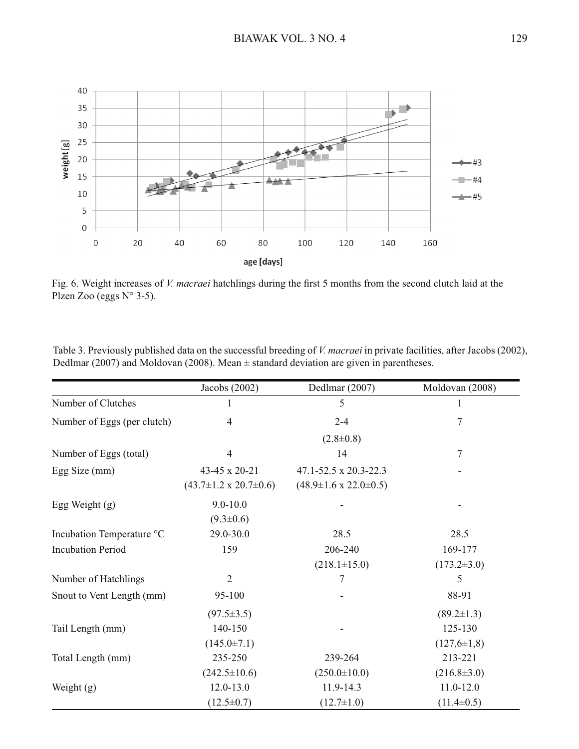

Fig. 6. Weight increases of *V. macraei* hatchlings during the first 5 months from the second clutch laid at the Plzen Zoo (eggs N° 3-5).

| Table 3. Previously published data on the successful breeding of <i>V. macraei</i> in private facilities, after Jacobs (2002), |  |
|--------------------------------------------------------------------------------------------------------------------------------|--|
| Dedlmar (2007) and Moldovan (2008). Mean $\pm$ standard deviation are given in parentheses.                                    |  |

|                             | Jacobs $(2002)$                      | Dedlmar (2007)                       | Moldovan (2008)   |
|-----------------------------|--------------------------------------|--------------------------------------|-------------------|
| Number of Clutches          |                                      | 5                                    |                   |
| Number of Eggs (per clutch) | 4                                    | $2 - 4$                              | 7                 |
|                             |                                      | $(2.8 \pm 0.8)$                      |                   |
| Number of Eggs (total)      | $\overline{4}$                       | 14                                   | $\overline{7}$    |
| Egg Size (mm)               | 43-45 x 20-21                        | 47.1-52.5 x 20.3-22.3                |                   |
|                             | $(43.7 \pm 1.2 \times 20.7 \pm 0.6)$ | $(48.9 \pm 1.6 \times 22.0 \pm 0.5)$ |                   |
| Egg Weight $(g)$            | $9.0 - 10.0$                         |                                      |                   |
|                             | $(9.3 \pm 0.6)$                      |                                      |                   |
| Incubation Temperature °C   | 29.0-30.0                            | 28.5                                 | 28.5              |
| <b>Incubation Period</b>    | 159                                  | 206-240                              | 169-177           |
|                             |                                      | $(218.1 \pm 15.0)$                   | $(173.2 \pm 3.0)$ |
| Number of Hatchlings        | $\overline{2}$                       | 7                                    | 5                 |
| Snout to Vent Length (mm)   | 95-100                               |                                      | 88-91             |
|                             | $(97.5 \pm 3.5)$                     |                                      | $(89.2 \pm 1.3)$  |
| Tail Length (mm)            | 140-150                              |                                      | 125-130           |
|                             | $(145.0 \pm 7.1)$                    |                                      | $(127,6 \pm 1,8)$ |
| Total Length (mm)           | 235-250                              | 239-264                              | 213-221           |
|                             | $(242.5 \pm 10.6)$                   | $(250.0 \pm 10.0)$                   | $(216.8 \pm 3.0)$ |
| Weight $(g)$                | $12.0 - 13.0$                        | 11.9-14.3                            | $11.0 - 12.0$     |
|                             | $(12.5 \pm 0.7)$                     | $(12.7 \pm 1.0)$                     | $(11.4\pm0.5)$    |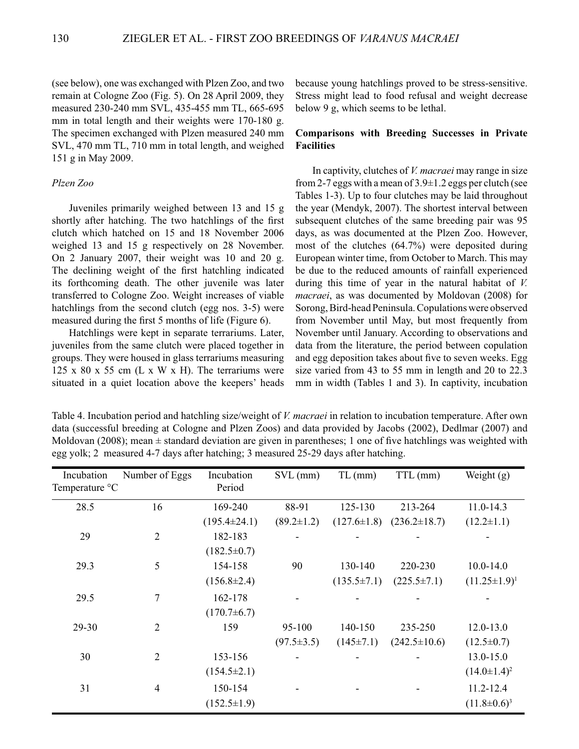(see below), one was exchanged with Plzen Zoo, and two remain at Cologne Zoo (Fig. 5). On 28 April 2009, they measured 230-240 mm SVL, 435-455 mm TL, 665-695 mm in total length and their weights were 170-180 g. The specimen exchanged with Plzen measured 240 mm SVL, 470 mm TL, 710 mm in total length, and weighed 151 g in May 2009.

#### *Plzen Zoo*

 Juveniles primarily weighed between 13 and 15 g shortly after hatching. The two hatchlings of the first clutch which hatched on 15 and 18 November 2006 weighed 13 and 15 g respectively on 28 November. On 2 January 2007, their weight was 10 and 20 g. The declining weight of the first hatchling indicated its forthcoming death. The other juvenile was later transferred to Cologne Zoo. Weight increases of viable hatchlings from the second clutch (egg nos. 3-5) were measured during the first 5 months of life (Figure 6).

 Hatchlings were kept in separate terrariums. Later, juveniles from the same clutch were placed together in groups. They were housed in glass terrariums measuring 125 x 80 x 55 cm  $(L \times W \times H)$ . The terrariums were situated in a quiet location above the keepers' heads because young hatchlings proved to be stress-sensitive. Stress might lead to food refusal and weight decrease below 9 g, which seems to be lethal.

## **Comparisons with Breeding Successes in Private Facilities**

 In captivity, clutches of *V. macraei* may range in size from 2-7 eggs with a mean of 3.9±1.2 eggs per clutch (see Tables 1-3). Up to four clutches may be laid throughout the year (Mendyk, 2007). The shortest interval between subsequent clutches of the same breeding pair was 95 days, as was documented at the Plzen Zoo. However, most of the clutches (64.7%) were deposited during European winter time, from October to March. This may be due to the reduced amounts of rainfall experienced during this time of year in the natural habitat of *V. macraei*, as was documented by Moldovan (2008) for Sorong, Bird-head Peninsula. Copulations were observed from November until May, but most frequently from November until January. According to observations and data from the literature, the period between copulation and egg deposition takes about five to seven weeks. Egg size varied from 43 to 55 mm in length and 20 to 22.3 mm in width (Tables 1 and 3). In captivity, incubation

Table 4. Incubation period and hatchling size/weight of *V. macraei* in relation to incubation temperature. After own data (successful breeding at Cologne and Plzen Zoos) and data provided by Jacobs (2002), Dedlmar (2007) and Moldovan (2008); mean  $\pm$  standard deviation are given in parentheses; 1 one of five hatchlings was weighted with egg yolk; 2 measured 4-7 days after hatching; 3 measured 25-29 days after hatching.

| Incubation<br>Temperature °C | Number of Eggs | Incubation<br>Period | $SVL$ (mm)       | $TL$ (mm)         | TTL (mm)           | Weight $(g)$        |
|------------------------------|----------------|----------------------|------------------|-------------------|--------------------|---------------------|
| 28.5                         | 16             | 169-240              | 88-91            | 125-130           | 213-264            | $11.0 - 14.3$       |
|                              |                | $(195.4 \pm 24.1)$   | $(89.2 \pm 1.2)$ | $(127.6 \pm 1.8)$ | $(236.2 \pm 18.7)$ | $(12.2 \pm 1.1)$    |
| 29                           | $\overline{2}$ | 182-183              |                  |                   |                    |                     |
|                              |                | $(182.5 \pm 0.7)$    |                  |                   |                    |                     |
| 29.3                         | 5              | 154-158              | 90               | 130-140           | 220-230            | $10.0 - 14.0$       |
|                              |                | $(156.8 \pm 2.4)$    |                  | $(135.5 \pm 7.1)$ | $(225.5 \pm 7.1)$  | $(11.25 \pm 1.9)^1$ |
| 29.5                         | 7              | 162-178              |                  |                   |                    |                     |
|                              |                | $(170.7\pm 6.7)$     |                  |                   |                    |                     |
| 29-30                        | $\overline{2}$ | 159                  | 95-100           | 140-150           | 235-250            | $12.0 - 13.0$       |
|                              |                |                      | $(97.5 \pm 3.5)$ | $(145 \pm 7.1)$   | $(242.5 \pm 10.6)$ | $(12.5 \pm 0.7)$    |
| 30                           | $\overline{2}$ | 153-156              |                  |                   |                    | 13.0-15.0           |
|                              |                | $(154.5 \pm 2.1)$    |                  |                   |                    | $(14.0 \pm 1.4)^2$  |
| 31                           | $\overline{4}$ | 150-154              |                  |                   |                    | 11.2-12.4           |
|                              |                | $(152.5 \pm 1.9)$    |                  |                   |                    | $(11.8 \pm 0.6)^3$  |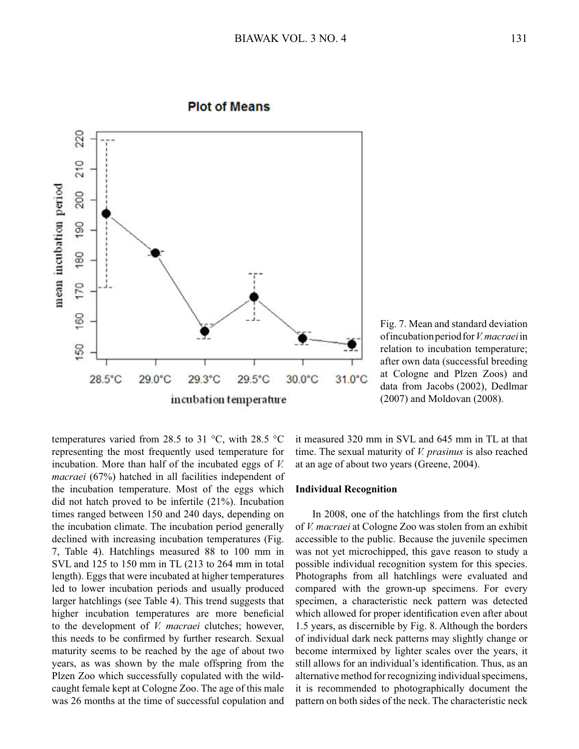

## **Plot of Means**

Fig. 7. Mean and standard deviation of incubation period for *V. macraei* in relation to incubation temperature; after own data (successful breeding at Cologne and Plzen Zoos) and data from Jacobs (2002), Dedlmar (2007) and Moldovan (2008).

temperatures varied from 28.5 to 31  $^{\circ}$ C, with 28.5  $^{\circ}$ C representing the most frequently used temperature for incubation. More than half of the incubated eggs of *V. macraei* (67%) hatched in all facilities independent of the incubation temperature. Most of the eggs which did not hatch proved to be infertile (21%). Incubation times ranged between 150 and 240 days, depending on the incubation climate. The incubation period generally declined with increasing incubation temperatures (Fig. 7, Table 4). Hatchlings measured 88 to 100 mm in SVL and 125 to 150 mm in TL (213 to 264 mm in total length). Eggs that were incubated at higher temperatures led to lower incubation periods and usually produced larger hatchlings (see Table 4). This trend suggests that higher incubation temperatures are more beneficial to the development of *V. macraei* clutches; however, this needs to be confirmed by further research. Sexual maturity seems to be reached by the age of about two years, as was shown by the male offspring from the Plzen Zoo which successfully copulated with the wildcaught female kept at Cologne Zoo. The age of this male was 26 months at the time of successful copulation and

it measured 320 mm in SVL and 645 mm in TL at that time. The sexual maturity of *V. prasinus* is also reached at an age of about two years (Greene, 2004).

### **Individual Recognition**

 In 2008, one of the hatchlings from the first clutch of *V. macraei* at Cologne Zoo was stolen from an exhibit accessible to the public. Because the juvenile specimen was not yet microchipped, this gave reason to study a possible individual recognition system for this species. Photographs from all hatchlings were evaluated and compared with the grown-up specimens. For every specimen, a characteristic neck pattern was detected which allowed for proper identification even after about 1.5 years, as discernible by Fig. 8. Although the borders of individual dark neck patterns may slightly change or become intermixed by lighter scales over the years, it still allows for an individual's identification. Thus, as an alternative method for recognizing individual specimens, it is recommended to photographically document the pattern on both sides of the neck. The characteristic neck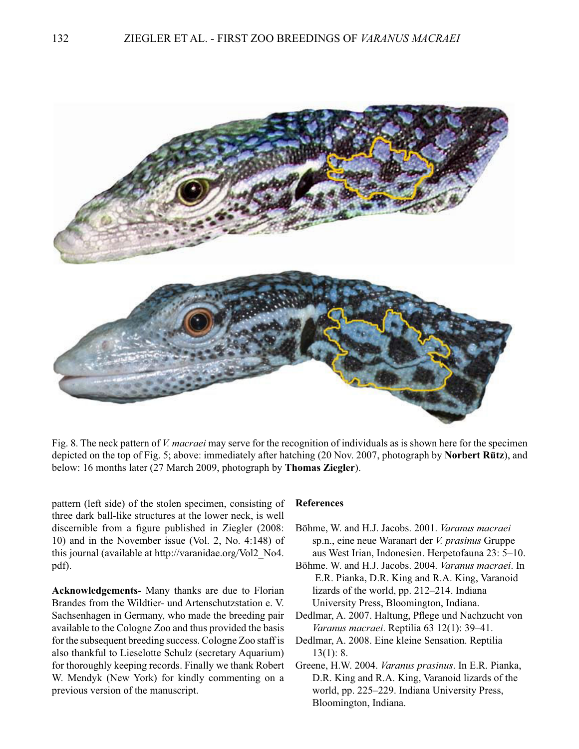

Fig. 8. The neck pattern of *V. macraei* may serve for the recognition of individuals as is shown here for the specimen depicted on the top of Fig. 5; above: immediately after hatching (20 Nov. 2007, photograph by **Norbert Rütz**), and below: 16 months later (27 March 2009, photograph by **Thomas Ziegler**).

pattern (left side) of the stolen specimen, consisting of three dark ball-like structures at the lower neck, is well discernible from a figure published in Ziegler (2008: 10) and in the November issue (Vol. 2, No. 4:148) of this journal (available at http://varanidae.org/Vol2\_No4. pdf).

**Acknowledgements**- Many thanks are due to Florian Brandes from the Wildtier- und Artenschutzstation e. V. Sachsenhagen in Germany, who made the breeding pair available to the Cologne Zoo and thus provided the basis for the subsequent breeding success. Cologne Zoo staff is also thankful to Lieselotte Schulz (secretary Aquarium) for thoroughly keeping records. Finally we thank Robert W. Mendyk (New York) for kindly commenting on a previous version of the manuscript.

## **References**

- Böhme, W. and H.J. Jacobs. 2001. *Varanus macraei* sp.n., eine neue Waranart der *V. prasinus* Gruppe aus West Irian, Indonesien. Herpetofauna 23: 5–10.
- Böhme. W. and H.J. Jacobs. 2004. *Varanus macraei*. In E.R. Pianka, D.R. King and R.A. King, Varanoid lizards of the world, pp. 212–214. Indiana University Press, Bloomington, Indiana.
- Dedlmar, A. 2007. Haltung, Pflege und Nachzucht von *Varanus macraei*. Reptilia 63 12(1): 39–41.
- Dedlmar, A. 2008. Eine kleine Sensation. Reptilia 13(1): 8.
- Greene, H.W. 2004. *Varanus prasinus*. In E.R. Pianka, D.R. King and R.A. King, Varanoid lizards of the world, pp. 225–229. Indiana University Press, Bloomington, Indiana.